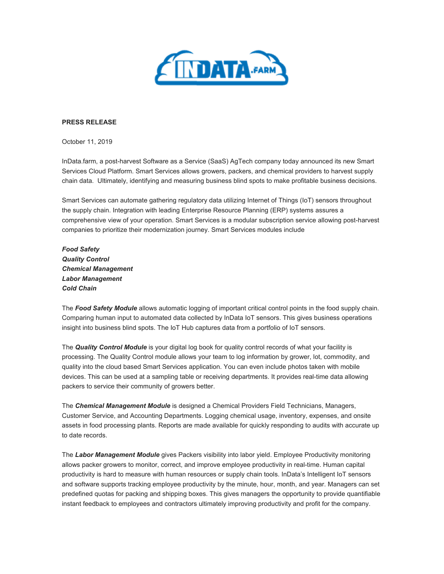

## **PRESS RELEASE**

October 11, 2019

InData.farm, a post-harvest Software as a Service (SaaS) AgTech company today announced its new Smart Services Cloud Platform. Smart Services allows growers, packers, and chemical providers to harvest supply chain data. Ultimately, identifying and measuring business blind spots to make profitable business decisions.

Smart Services can automate gathering regulatory data utilizing Internet of Things (IoT) sensors throughout the supply chain. Integration with leading Enterprise Resource Planning (ERP) systems assures a comprehensive view of your operation. Smart Services is a modular subscription service allowing post-harvest companies to prioritize their modernization journey. Smart Services modules include

*Food Safety Quality Control Chemical Management Labor Management Cold Chain* 

The *Food Safety Module* allows automatic logging of important critical control points in the food supply chain. Comparing human input to automated data collected by InData IoT sensors. This gives business operations insight into business blind spots. The IoT Hub captures data from a portfolio of IoT sensors.

The *Quality Control Module* is your digital log book for quality control records of what your facility is processing. The Quality Control module allows your team to log information by grower, lot, commodity, and quality into the cloud based Smart Services application. You can even include photos taken with mobile devices. This can be used at a sampling table or receiving departments. It provides real-time data allowing packers to service their community of growers better.

The *Chemical Management Module* is designed a Chemical Providers Field Technicians, Managers, Customer Service, and Accounting Departments. Logging chemical usage, inventory, expenses, and onsite assets in food processing plants. Reports are made available for quickly responding to audits with accurate up to date records.

The *Labor Management Module* gives Packers visibility into labor yield. Employee Productivity monitoring allows packer growers to monitor, correct, and improve employee productivity in real-time. Human capital productivity is hard to measure with human resources or supply chain tools. InData's Intelligent IoT sensors and software supports tracking employee productivity by the minute, hour, month, and year. Managers can set predefined quotas for packing and shipping boxes. This gives managers the opportunity to provide quantifiable instant feedback to employees and contractors ultimately improving productivity and profit for the company.